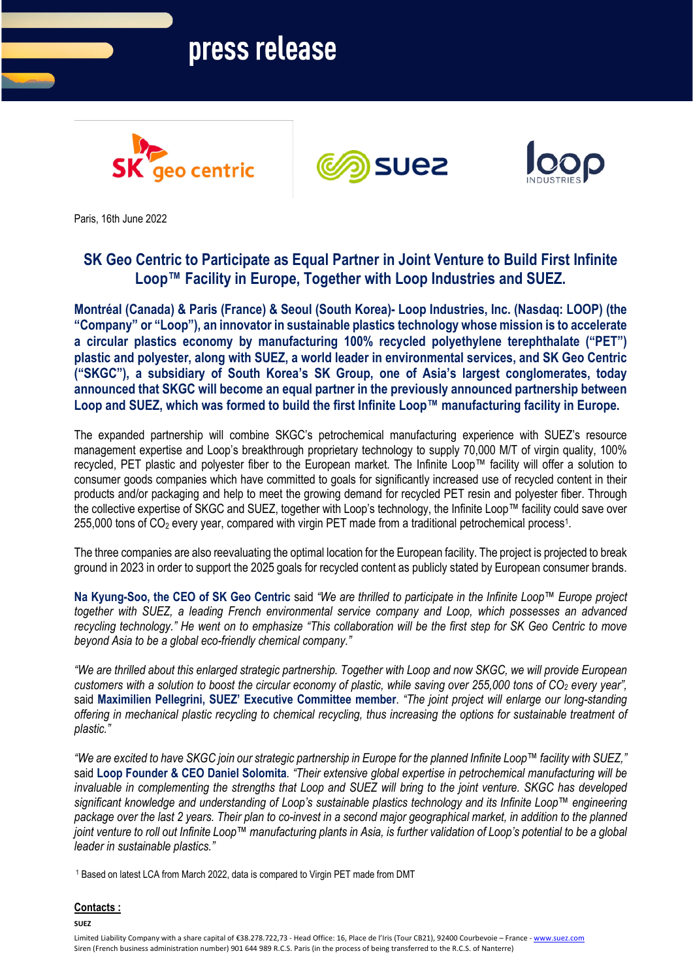# press release







Paris, 16th June 2022

## **SK Geo Centric to Participate as Equal Partner in Joint Venture to Build First Infinite Loop™ Facility in Europe, Together with Loop Industries and SUEZ.**

**Montréal (Canada) & Paris (France) & Seoul (South Korea)- Loop Industries, Inc. (Nasdaq: LOOP) (the "Company" or "Loop"), an innovator in sustainable plastics technology whose mission is to accelerate a circular plastics economy by manufacturing 100% recycled polyethylene terephthalate ("PET") plastic and polyester, along with SUEZ, a world leader in environmental services, and SK Geo Centric ("SKGC"), a subsidiary of South Korea's SK Group, one of Asia's largest conglomerates, today announced that SKGC will become an equal partner in the previously announced partnership between Loop and SUEZ, which was formed to build the first Infinite Loop™ manufacturing facility in Europe.** 

The expanded partnership will combine SKGC's petrochemical manufacturing experience with SUEZ's resource management expertise and Loop's breakthrough proprietary technology to supply 70,000 M/T of virgin quality, 100% recycled, PET plastic and polyester fiber to the European market. The Infinite Loop™ facility will offer a solution to consumer goods companies which have committed to goals for significantly increased use of recycled content in their products and/or packaging and help to meet the growing demand for recycled PET resin and polyester fiber. Through the collective expertise of SKGC and SUEZ, together with Loop's technology, the Infinite Loop™ facility could save over 255,000 tons of CO<sub>2</sub> every year, compared with virgin PET made from a traditional petrochemical process<sup>1</sup>.

The three companies are also reevaluating the optimal location for the European facility. The project is projected to break ground in 2023 in order to support the 2025 goals for recycled content as publicly stated by European consumer brands.

**Na Kyung-Soo, the CEO of SK Geo Centric** said *"We are thrilled to participate in the Infinite Loop™ Europe project together with SUEZ, a leading French environmental service company and Loop, which possesses an advanced recycling technology." He went on to emphasize "This collaboration will be the first step for SK Geo Centric to move beyond Asia to be a global eco-friendly chemical company."*

*"We are thrilled about this enlarged strategic partnership. Together with Loop and now SKGC, we will provide European customers with a solution to boost the circular economy of plastic, while saving over 255,000 tons of CO<sub>2</sub> every year",* said **Maximilien Pellegrini, SUEZ' Executive Committee member***. "The joint project will enlarge our long-standing offering in mechanical plastic recycling to chemical recycling, thus increasing the options for sustainable treatment of plastic."* 

*"We are excited to have SKGC join our strategic partnership in Europe for the planned Infinite Loop™ facility with SUEZ,"*  said **Loop Founder & CEO Daniel Solomita***. "Their extensive global expertise in petrochemical manufacturing will be invaluable in complementing the strengths that Loop and SUEZ will bring to the joint venture. SKGC has developed significant knowledge and understanding of Loop's sustainable plastics technology and its Infinite Loop™ engineering*  package over the last 2 years. Their plan to co-invest in a second major geographical market, in addition to the planned *joint venture to roll out Infinite Loop™ manufacturing plants in Asia, is further validation of Loop's potential to be a global leader in sustainable plastics."*

<sup>1</sup> Based on latest LCA from March 2022, data is compared to Virgin PET made from DMT

### **Contacts :**

**SUEZ**